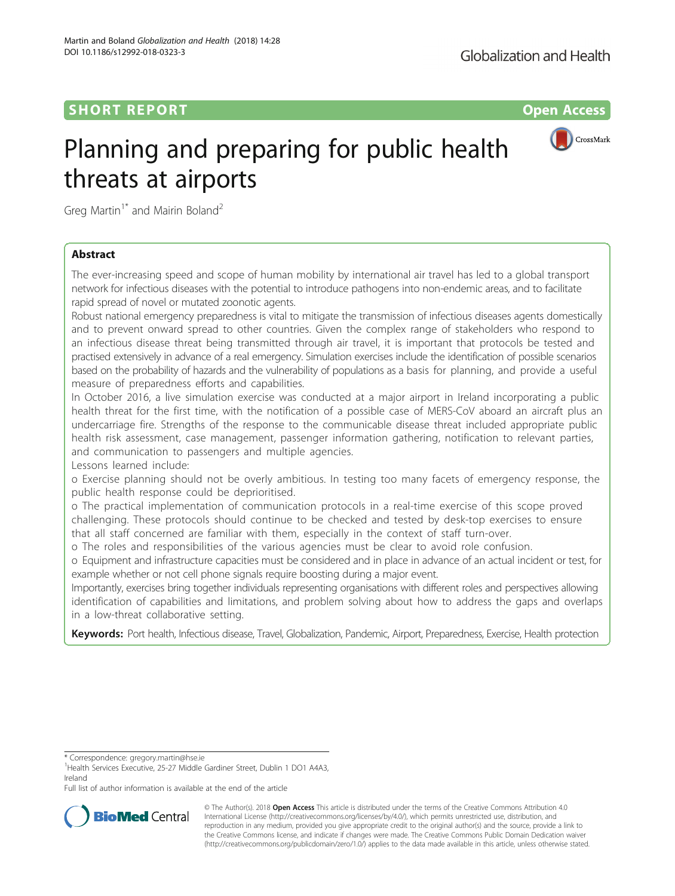# **SHORT REPORT SHORT CONSUMING THE SHORT CONSUMING THE SHORT CONSUMING THE SHORT CONSUMING THE SHORT CONSUMING THE SHORT CONSUMING THE SHORT CONSUMING THE SHORT CONSUMING THE SHORT CONSUMING THE SHORT CONSUMING THE SHORT**



# Planning and preparing for public health threats at airports

Greg Martin<sup>1\*</sup> and Mairin Boland<sup>2</sup>

# Abstract

The ever-increasing speed and scope of human mobility by international air travel has led to a global transport network for infectious diseases with the potential to introduce pathogens into non-endemic areas, and to facilitate rapid spread of novel or mutated zoonotic agents.

Robust national emergency preparedness is vital to mitigate the transmission of infectious diseases agents domestically and to prevent onward spread to other countries. Given the complex range of stakeholders who respond to an infectious disease threat being transmitted through air travel, it is important that protocols be tested and practised extensively in advance of a real emergency. Simulation exercises include the identification of possible scenarios based on the probability of hazards and the vulnerability of populations as a basis for planning, and provide a useful measure of preparedness efforts and capabilities.

In October 2016, a live simulation exercise was conducted at a major airport in Ireland incorporating a public health threat for the first time, with the notification of a possible case of MERS-CoV aboard an aircraft plus an undercarriage fire. Strengths of the response to the communicable disease threat included appropriate public health risk assessment, case management, passenger information gathering, notification to relevant parties, and communication to passengers and multiple agencies.

Lessons learned include:

o Exercise planning should not be overly ambitious. In testing too many facets of emergency response, the public health response could be deprioritised.

o The practical implementation of communication protocols in a real-time exercise of this scope proved challenging. These protocols should continue to be checked and tested by desk-top exercises to ensure that all staff concerned are familiar with them, especially in the context of staff turn-over.

o The roles and responsibilities of the various agencies must be clear to avoid role confusion.

o Equipment and infrastructure capacities must be considered and in place in advance of an actual incident or test, for example whether or not cell phone signals require boosting during a major event.

Importantly, exercises bring together individuals representing organisations with different roles and perspectives allowing identification of capabilities and limitations, and problem solving about how to address the gaps and overlaps in a low-threat collaborative setting.

Keywords: Port health, Infectious disease, Travel, Globalization, Pandemic, Airport, Preparedness, Exercise, Health protection

\* Correspondence: [gregory.martin@hse.ie](mailto:gregory.martin@hse.ie) <sup>1</sup>

<sup>1</sup>Health Services Executive, 25-27 Middle Gardiner Street, Dublin 1 DO1 A4A3, Ireland

Full list of author information is available at the end of the article



© The Author(s). 2018 Open Access This article is distributed under the terms of the Creative Commons Attribution 4.0 International License [\(http://creativecommons.org/licenses/by/4.0/](http://creativecommons.org/licenses/by/4.0/)), which permits unrestricted use, distribution, and reproduction in any medium, provided you give appropriate credit to the original author(s) and the source, provide a link to the Creative Commons license, and indicate if changes were made. The Creative Commons Public Domain Dedication waiver [\(http://creativecommons.org/publicdomain/zero/1.0/](http://creativecommons.org/publicdomain/zero/1.0/)) applies to the data made available in this article, unless otherwise stated.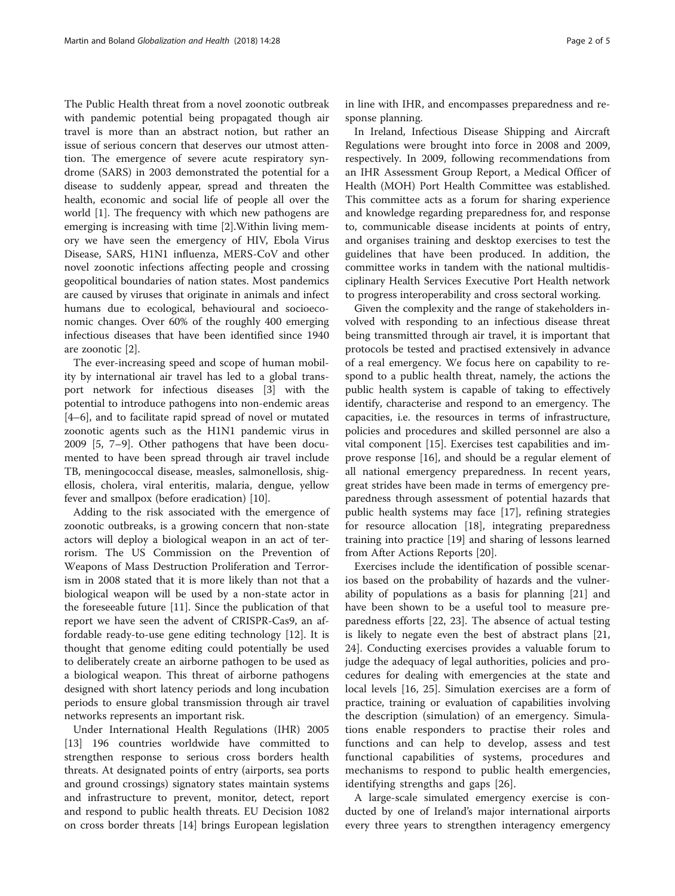The Public Health threat from a novel zoonotic outbreak with pandemic potential being propagated though air travel is more than an abstract notion, but rather an issue of serious concern that deserves our utmost attention. The emergence of severe acute respiratory syndrome (SARS) in 2003 demonstrated the potential for a disease to suddenly appear, spread and threaten the health, economic and social life of people all over the world [[1\]](#page-3-0). The frequency with which new pathogens are emerging is increasing with time [\[2](#page-3-0)].Within living memory we have seen the emergency of HIV, Ebola Virus Disease, SARS, H1N1 influenza, MERS-CoV and other novel zoonotic infections affecting people and crossing geopolitical boundaries of nation states. Most pandemics are caused by viruses that originate in animals and infect humans due to ecological, behavioural and socioeconomic changes. Over 60% of the roughly 400 emerging infectious diseases that have been identified since 1940 are zoonotic [\[2](#page-3-0)].

The ever-increasing speed and scope of human mobility by international air travel has led to a global transport network for infectious diseases [\[3](#page-3-0)] with the potential to introduce pathogens into non-endemic areas [[4](#page-3-0)–[6\]](#page-3-0), and to facilitate rapid spread of novel or mutated zoonotic agents such as the H1N1 pandemic virus in 2009 [\[5](#page-3-0), [7](#page-3-0)–[9](#page-3-0)]. Other pathogens that have been documented to have been spread through air travel include TB, meningococcal disease, measles, salmonellosis, shigellosis, cholera, viral enteritis, malaria, dengue, yellow fever and smallpox (before eradication) [\[10](#page-3-0)].

Adding to the risk associated with the emergence of zoonotic outbreaks, is a growing concern that non-state actors will deploy a biological weapon in an act of terrorism. The US Commission on the Prevention of Weapons of Mass Destruction Proliferation and Terrorism in 2008 stated that it is more likely than not that a biological weapon will be used by a non-state actor in the foreseeable future [\[11](#page-3-0)]. Since the publication of that report we have seen the advent of CRISPR-Cas9, an affordable ready-to-use gene editing technology [[12\]](#page-3-0). It is thought that genome editing could potentially be used to deliberately create an airborne pathogen to be used as a biological weapon. This threat of airborne pathogens designed with short latency periods and long incubation periods to ensure global transmission through air travel networks represents an important risk.

Under International Health Regulations (IHR) 2005 [[13\]](#page-3-0) 196 countries worldwide have committed to strengthen response to serious cross borders health threats. At designated points of entry (airports, sea ports and ground crossings) signatory states maintain systems and infrastructure to prevent, monitor, detect, report and respond to public health threats. EU Decision 1082 on cross border threats [[14\]](#page-3-0) brings European legislation in line with IHR, and encompasses preparedness and response planning.

In Ireland, Infectious Disease Shipping and Aircraft Regulations were brought into force in 2008 and 2009, respectively. In 2009, following recommendations from an IHR Assessment Group Report, a Medical Officer of Health (MOH) Port Health Committee was established. This committee acts as a forum for sharing experience and knowledge regarding preparedness for, and response to, communicable disease incidents at points of entry, and organises training and desktop exercises to test the guidelines that have been produced. In addition, the committee works in tandem with the national multidisciplinary Health Services Executive Port Health network to progress interoperability and cross sectoral working.

Given the complexity and the range of stakeholders involved with responding to an infectious disease threat being transmitted through air travel, it is important that protocols be tested and practised extensively in advance of a real emergency. We focus here on capability to respond to a public health threat, namely, the actions the public health system is capable of taking to effectively identify, characterise and respond to an emergency. The capacities, i.e. the resources in terms of infrastructure, policies and procedures and skilled personnel are also a vital component [[15\]](#page-3-0). Exercises test capabilities and improve response [[16](#page-3-0)], and should be a regular element of all national emergency preparedness. In recent years, great strides have been made in terms of emergency preparedness through assessment of potential hazards that public health systems may face [[17\]](#page-3-0), refining strategies for resource allocation [[18\]](#page-3-0), integrating preparedness training into practice [[19\]](#page-3-0) and sharing of lessons learned from After Actions Reports [\[20](#page-4-0)].

Exercises include the identification of possible scenarios based on the probability of hazards and the vulnerability of populations as a basis for planning [[21\]](#page-4-0) and have been shown to be a useful tool to measure preparedness efforts [[22](#page-4-0), [23](#page-4-0)]. The absence of actual testing is likely to negate even the best of abstract plans [[21](#page-4-0), [24\]](#page-4-0). Conducting exercises provides a valuable forum to judge the adequacy of legal authorities, policies and procedures for dealing with emergencies at the state and local levels [\[16](#page-3-0), [25](#page-4-0)]. Simulation exercises are a form of practice, training or evaluation of capabilities involving the description (simulation) of an emergency. Simulations enable responders to practise their roles and functions and can help to develop, assess and test functional capabilities of systems, procedures and mechanisms to respond to public health emergencies, identifying strengths and gaps [[26\]](#page-4-0).

A large-scale simulated emergency exercise is conducted by one of Ireland's major international airports every three years to strengthen interagency emergency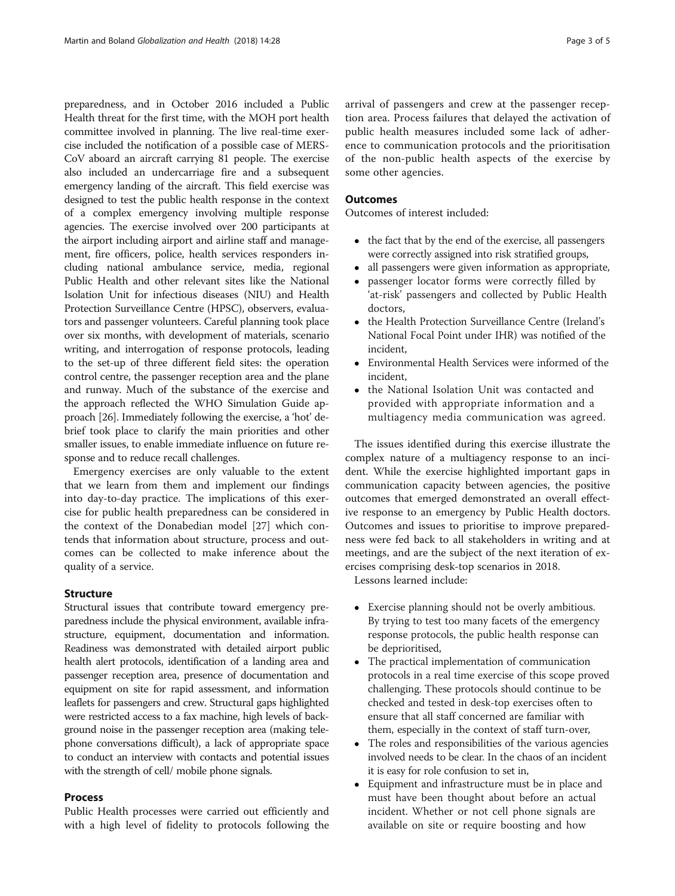preparedness, and in October 2016 included a Public Health threat for the first time, with the MOH port health committee involved in planning. The live real-time exercise included the notification of a possible case of MERS-CoV aboard an aircraft carrying 81 people. The exercise also included an undercarriage fire and a subsequent emergency landing of the aircraft. This field exercise was designed to test the public health response in the context of a complex emergency involving multiple response agencies. The exercise involved over 200 participants at the airport including airport and airline staff and management, fire officers, police, health services responders including national ambulance service, media, regional Public Health and other relevant sites like the National Isolation Unit for infectious diseases (NIU) and Health Protection Surveillance Centre (HPSC), observers, evaluators and passenger volunteers. Careful planning took place over six months, with development of materials, scenario writing, and interrogation of response protocols, leading to the set-up of three different field sites: the operation control centre, the passenger reception area and the plane and runway. Much of the substance of the exercise and the approach reflected the WHO Simulation Guide approach [\[26\]](#page-4-0). Immediately following the exercise, a 'hot' debrief took place to clarify the main priorities and other smaller issues, to enable immediate influence on future response and to reduce recall challenges.

Emergency exercises are only valuable to the extent that we learn from them and implement our findings into day-to-day practice. The implications of this exercise for public health preparedness can be considered in the context of the Donabedian model [[27\]](#page-4-0) which contends that information about structure, process and outcomes can be collected to make inference about the quality of a service.

### Structure

Structural issues that contribute toward emergency preparedness include the physical environment, available infrastructure, equipment, documentation and information. Readiness was demonstrated with detailed airport public health alert protocols, identification of a landing area and passenger reception area, presence of documentation and equipment on site for rapid assessment, and information leaflets for passengers and crew. Structural gaps highlighted were restricted access to a fax machine, high levels of background noise in the passenger reception area (making telephone conversations difficult), a lack of appropriate space to conduct an interview with contacts and potential issues with the strength of cell/ mobile phone signals.

# Process

Public Health processes were carried out efficiently and with a high level of fidelity to protocols following the arrival of passengers and crew at the passenger reception area. Process failures that delayed the activation of public health measures included some lack of adherence to communication protocols and the prioritisation of the non-public health aspects of the exercise by some other agencies.

## **Outcomes**

Outcomes of interest included:

- the fact that by the end of the exercise, all passengers were correctly assigned into risk stratified groups,
- all passengers were given information as appropriate,<br>• passenger locator forms were correctly filled by
- passenger locator forms were correctly filled by 'at-risk' passengers and collected by Public Health doctors,
- the Health Protection Surveillance Centre (Ireland's National Focal Point under IHR) was notified of the incident,
- Environmental Health Services were informed of the incident,
- the National Isolation Unit was contacted and provided with appropriate information and a multiagency media communication was agreed.

The issues identified during this exercise illustrate the complex nature of a multiagency response to an incident. While the exercise highlighted important gaps in communication capacity between agencies, the positive outcomes that emerged demonstrated an overall effective response to an emergency by Public Health doctors. Outcomes and issues to prioritise to improve preparedness were fed back to all stakeholders in writing and at meetings, and are the subject of the next iteration of exercises comprising desk-top scenarios in 2018.

Lessons learned include:

- Exercise planning should not be overly ambitious. By trying to test too many facets of the emergency response protocols, the public health response can be deprioritised,
- The practical implementation of communication protocols in a real time exercise of this scope proved challenging. These protocols should continue to be checked and tested in desk-top exercises often to ensure that all staff concerned are familiar with them, especially in the context of staff turn-over,
- The roles and responsibilities of the various agencies involved needs to be clear. In the chaos of an incident it is easy for role confusion to set in,
- Equipment and infrastructure must be in place and must have been thought about before an actual incident. Whether or not cell phone signals are available on site or require boosting and how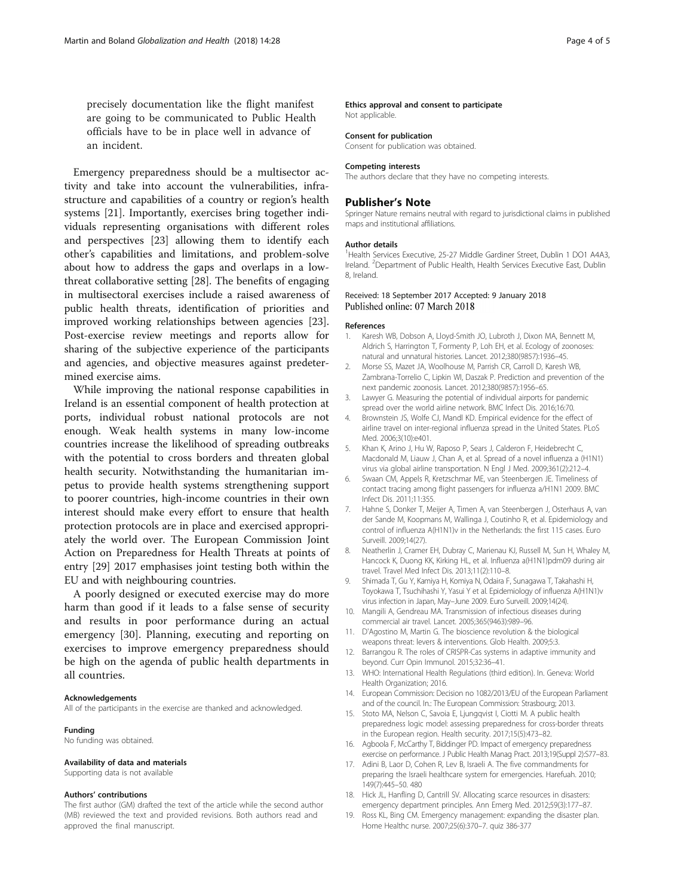<span id="page-3-0"></span>precisely documentation like the flight manifest are going to be communicated to Public Health officials have to be in place well in advance of an incident.

Emergency preparedness should be a multisector activity and take into account the vulnerabilities, infrastructure and capabilities of a country or region's health systems [\[21\]](#page-4-0). Importantly, exercises bring together individuals representing organisations with different roles and perspectives [\[23\]](#page-4-0) allowing them to identify each other's capabilities and limitations, and problem-solve about how to address the gaps and overlaps in a lowthreat collaborative setting [[28\]](#page-4-0). The benefits of engaging in multisectoral exercises include a raised awareness of public health threats, identification of priorities and improved working relationships between agencies [\[23](#page-4-0)]. Post-exercise review meetings and reports allow for sharing of the subjective experience of the participants and agencies, and objective measures against predetermined exercise aims.

While improving the national response capabilities in Ireland is an essential component of health protection at ports, individual robust national protocols are not enough. Weak health systems in many low-income countries increase the likelihood of spreading outbreaks with the potential to cross borders and threaten global health security. Notwithstanding the humanitarian impetus to provide health systems strengthening support to poorer countries, high-income countries in their own interest should make every effort to ensure that health protection protocols are in place and exercised appropriately the world over. The European Commission Joint Action on Preparedness for Health Threats at points of entry [\[29](#page-4-0)] 2017 emphasises joint testing both within the EU and with neighbouring countries.

A poorly designed or executed exercise may do more harm than good if it leads to a false sense of security and results in poor performance during an actual emergency [\[30](#page-4-0)]. Planning, executing and reporting on exercises to improve emergency preparedness should be high on the agenda of public health departments in all countries.

#### Acknowledgements

All of the participants in the exercise are thanked and acknowledged.

#### Funding

No funding was obtained.

#### Availability of data and materials

Supporting data is not available

#### Authors' contributions

The first author (GM) drafted the text of the article while the second author (MB) reviewed the text and provided revisions. Both authors read and approved the final manuscript.

Ethics approval and consent to participate Not applicable.

#### Consent for publication

Consent for publication was obtained.

#### Competing interests

The authors declare that they have no competing interests.

## Publisher's Note

Springer Nature remains neutral with regard to jurisdictional claims in published maps and institutional affiliations.

#### Author details

<sup>1</sup>Health Services Executive, 25-27 Middle Gardiner Street, Dublin 1 DO1 A4A3 Ireland. <sup>2</sup>Department of Public Health, Health Services Executive East, Dublin 8, Ireland.

## Received: 18 September 2017 Accepted: 9 January 2018 Published online: 07 March 2018

#### References

- 1. Karesh WB, Dobson A, Lloyd-Smith JO, Lubroth J, Dixon MA, Bennett M, Aldrich S, Harrington T, Formenty P, Loh EH, et al. Ecology of zoonoses: natural and unnatural histories. Lancet. 2012;380(9857):1936–45.
- 2. Morse SS, Mazet JA, Woolhouse M, Parrish CR, Carroll D, Karesh WB, Zambrana-Torrelio C, Lipkin WI, Daszak P. Prediction and prevention of the next pandemic zoonosis. Lancet. 2012;380(9857):1956–65.
- 3. Lawyer G. Measuring the potential of individual airports for pandemic spread over the world airline network. BMC Infect Dis. 2016;16:70.
- 4. Brownstein JS, Wolfe CJ, Mandl KD. Empirical evidence for the effect of airline travel on inter-regional influenza spread in the United States. PLoS Med. 2006;3(10):e401.
- Khan K, Arino J, Hu W, Raposo P, Sears J, Calderon F, Heidebrecht C, Macdonald M, Liauw J, Chan A, et al. Spread of a novel influenza a (H1N1) virus via global airline transportation. N Engl J Med. 2009;361(2):212–4.
- 6. Swaan CM, Appels R, Kretzschmar ME, van Steenbergen JE. Timeliness of contact tracing among flight passengers for influenza a/H1N1 2009. BMC Infect Dis. 2011;11:355.
- 7. Hahne S, Donker T, Meijer A, Timen A, van Steenbergen J, Osterhaus A, van der Sande M, Koopmans M, Wallinga J, Coutinho R, et al. Epidemiology and control of influenza A(H1N1)v in the Netherlands: the first 115 cases. Euro Surveill. 2009;14(27).
- 8. Neatherlin J, Cramer EH, Dubray C, Marienau KJ, Russell M, Sun H, Whaley M, Hancock K, Duong KK, Kirking HL, et al. Influenza a(H1N1)pdm09 during air travel. Travel Med Infect Dis. 2013;11(2):110–8.
- 9. Shimada T, Gu Y, Kamiya H, Komiya N, Odaira F, Sunagawa T, Takahashi H, Toyokawa T, Tsuchihashi Y, Yasui Y et al. Epidemiology of influenza A(H1N1)v virus infection in Japan, May–June 2009. Euro Surveill. 2009;14(24).
- 10. Mangili A, Gendreau MA. Transmission of infectious diseases during commercial air travel. Lancet. 2005;365(9463):989–96.
- 11. D'Agostino M, Martin G. The bioscience revolution & the biological weapons threat: levers & interventions. Glob Health. 2009;5:3.
- 12. Barrangou R. The roles of CRISPR-Cas systems in adaptive immunity and beyond. Curr Opin Immunol. 2015;32:36–41.
- 13. WHO: International Health Regulations (third edition). In. Geneva: World Health Organization; 2016.
- 14. European Commission: Decision no 1082/2013/EU of the European Parliament and of the council. In.: The European Commission: Strasbourg; 2013.
- 15. Stoto MA, Nelson C, Savoia E, Ljungqvist I, Ciotti M. A public health preparedness logic model: assessing preparedness for cross-border threats in the European region. Health security. 2017;15(5):473–82.
- 16. Agboola F, McCarthy T, Biddinger PD. Impact of emergency preparedness exercise on performance. J Public Health Manag Pract. 2013;19(Suppl 2):S77–83.
- 17. Adini B, Laor D, Cohen R, Lev B, Israeli A. The five commandments for preparing the Israeli healthcare system for emergencies. Harefuah. 2010; 149(7):445–50. 480
- 18. Hick JL, Hanfling D, Cantrill SV. Allocating scarce resources in disasters: emergency department principles. Ann Emerg Med. 2012;59(3):177–87.
- 19. Ross KL, Bing CM. Emergency management: expanding the disaster plan. Home Healthc nurse. 2007;25(6):370–7. quiz 386-377